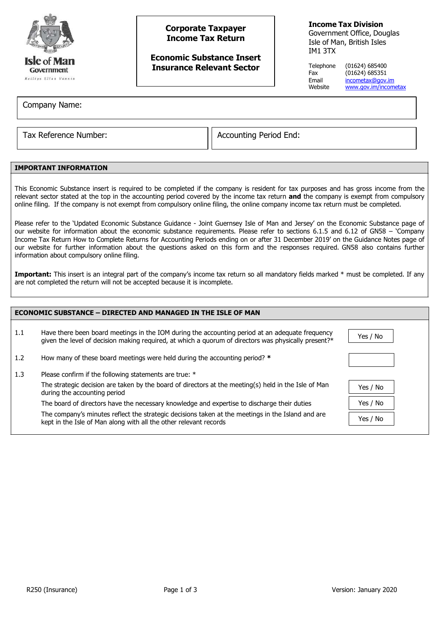

# **Corporate Taxpayer Income Tax Return**

## **Economic Substance Insert Insurance Relevant Sector**

**Income Tax Division**

Government Office, Douglas Isle of Man, British Isles IM1 3TX

Telephone (01624) 685400 Fax (01624) 685351 Email [incometax@gov.im](mailto:incometax@gov.im)<br>Website www.gov.im/incom [www.gov.im/incometax](http://www.gov.im/incometax)

Company Name:

Tax Reference Number:  $\vert\vert$  Accounting Period End:

## **IMPORTANT INFORMATION**

This Economic Substance insert is required to be completed if the company is resident for tax purposes and has gross income from the relevant sector stated at the top in the accounting period covered by the income tax return **and** the company is exempt from compulsory online filing. If the company is not exempt from compulsory online filing, the online company income tax return must be completed.

Please refer to the 'Updated Economic Substance Guidance - Joint Guernsey Isle of Man and Jersey' on the Economic Substance page of our website for information about the economic substance requirements. Please refer to sections 6.1.5 and 6.12 of GN58 – 'Company Income Tax Return How to Complete Returns for Accounting Periods ending on or after 31 December 2019' on the Guidance Notes page of our website for further information about the questions asked on this form and the responses required. GN58 also contains further information about compulsory online filing.

Important: This insert is an integral part of the company's income tax return so all mandatory fields marked \* must be completed. If any are not completed the return will not be accepted because it is incomplete.

| <b>ECONOMIC SUBSTANCE - DIRECTED AND MANAGED IN THE ISLE OF MAN</b> |                                                                                                                                                                                                         |          |  |  |
|---------------------------------------------------------------------|---------------------------------------------------------------------------------------------------------------------------------------------------------------------------------------------------------|----------|--|--|
| 1.1                                                                 | Have there been board meetings in the IOM during the accounting period at an adequate frequency<br>given the level of decision making required, at which a quorum of directors was physically present?* | Yes / No |  |  |
| 1.2                                                                 | How many of these board meetings were held during the accounting period? *                                                                                                                              |          |  |  |
| 1.3                                                                 | Please confirm if the following statements are true: *                                                                                                                                                  |          |  |  |
|                                                                     | The strategic decision are taken by the board of directors at the meeting(s) held in the Isle of Man<br>during the accounting period                                                                    | Yes / No |  |  |
|                                                                     | The board of directors have the necessary knowledge and expertise to discharge their duties                                                                                                             | Yes / No |  |  |
|                                                                     | The company's minutes reflect the strategic decisions taken at the meetings in the Island and are<br>kept in the Isle of Man along with all the other relevant records                                  | Yes / No |  |  |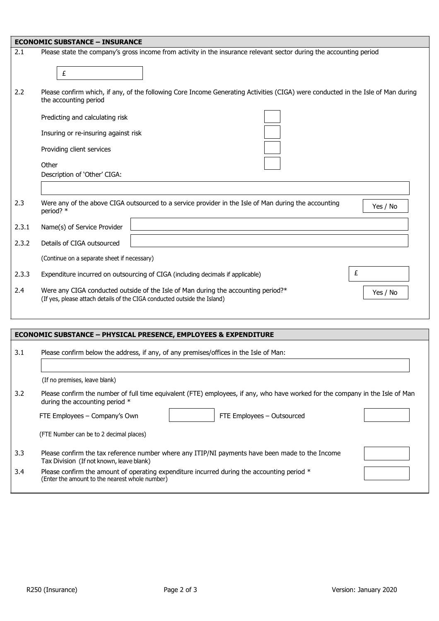|       | <b>ECONOMIC SUBSTANCE - INSURANCE</b>                                                                                                                         |          |  |  |
|-------|---------------------------------------------------------------------------------------------------------------------------------------------------------------|----------|--|--|
| 2.1   | Please state the company's gross income from activity in the insurance relevant sector during the accounting period<br>£                                      |          |  |  |
| 2.2   | Please confirm which, if any, of the following Core Income Generating Activities (CIGA) were conducted in the Isle of Man during<br>the accounting period     |          |  |  |
|       | Predicting and calculating risk                                                                                                                               |          |  |  |
|       | Insuring or re-insuring against risk                                                                                                                          |          |  |  |
|       | Providing client services                                                                                                                                     |          |  |  |
|       | Other                                                                                                                                                         |          |  |  |
|       | Description of 'Other' CIGA:                                                                                                                                  |          |  |  |
|       |                                                                                                                                                               |          |  |  |
| 2.3   | Were any of the above CIGA outsourced to a service provider in the Isle of Man during the accounting<br>period? *                                             | Yes / No |  |  |
| 2.3.1 | Name(s) of Service Provider                                                                                                                                   |          |  |  |
| 2.3.2 | Details of CIGA outsourced                                                                                                                                    |          |  |  |
|       | (Continue on a separate sheet if necessary)                                                                                                                   |          |  |  |
| 2.3.3 | Expenditure incurred on outsourcing of CIGA (including decimals if applicable)                                                                                | £        |  |  |
| 2.4   | Were any CIGA conducted outside of the Isle of Man during the accounting period?*<br>(If yes, please attach details of the CIGA conducted outside the Island) | Yes / No |  |  |
|       |                                                                                                                                                               |          |  |  |

| <b>ECONOMIC SUBSTANCE - PHYSICAL PRESENCE, EMPLOYEES &amp; EXPENDITURE</b>                                                                                             |                                                                                                                                                |  |  |  |
|------------------------------------------------------------------------------------------------------------------------------------------------------------------------|------------------------------------------------------------------------------------------------------------------------------------------------|--|--|--|
| 3.1                                                                                                                                                                    | Please confirm below the address, if any, of any premises/offices in the Isle of Man:                                                          |  |  |  |
|                                                                                                                                                                        | (If no premises, leave blank)                                                                                                                  |  |  |  |
| 3.2<br>Please confirm the number of full time equivalent (FTE) employees, if any, who have worked for the company in the Isle of Man<br>during the accounting period * |                                                                                                                                                |  |  |  |
|                                                                                                                                                                        | FTE Employees - Outsourced<br>FTE Employees – Company's Own                                                                                    |  |  |  |
|                                                                                                                                                                        | (FTE Number can be to 2 decimal places)                                                                                                        |  |  |  |
| 3.3                                                                                                                                                                    | Please confirm the tax reference number where any ITIP/NI payments have been made to the Income<br>Tax Division (If not known, leave blank)    |  |  |  |
| 3.4                                                                                                                                                                    | Please confirm the amount of operating expenditure incurred during the accounting period $*$<br>(Enter the amount to the nearest whole number) |  |  |  |